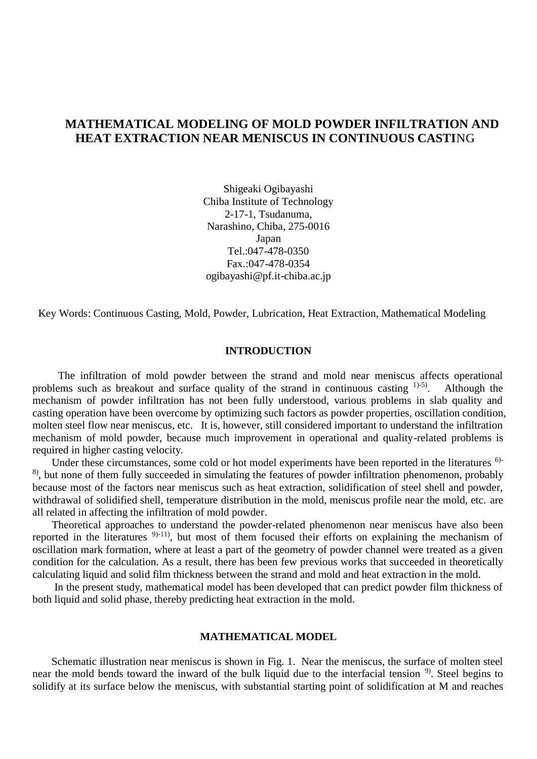# **MATHEMATICAL MODELING OF MOLD POWDER INFILTRATION AND HEAT EXTRACTION NEAR MENISCUS IN CONTINUOUS CASTI**NG

Shigeaki Ogibayashi Chiba Institute of Technology 2-17-1, Tsudanuma, Narashino, Chiba, 275-0016 Japan Tel.:047-478-0350 Fax.:047-478-0354 ogibayashi@pf.it-chiba.ac.jp

Key Words: Continuous Casting, Mold, Powder, Lubrication, Heat Extraction, Mathematical Modeling

### **INTRODUCTION**

The infiltration of mold powder between the strand and mold near meniscus affects operational problems such as breakout and surface quality of the strand in continuous casting  $(1)$ -5). Although the mechanism of powder infiltration has not been fully understood, various problems in slab quality and casting operation have been overcome by optimizing such factors as powder properties, oscillation condition, molten steel flow near meniscus, etc. It is, however, still considered important to understand the infiltration mechanism of mold powder, because much improvement in operational and quality-related problems is required in higher casting velocity.

Under these circumstances, some cold or hot model experiments have been reported in the literatures <sup>6)-</sup> <sup>8)</sup>, but none of them fully succeeded in simulating the features of powder infiltration phenomenon, probably because most of the factors near meniscus such as heat extraction, solidification of steel shell and powder, withdrawal of solidified shell, temperature distribution in the mold, meniscus profile near the mold, etc. are all related in affecting the infiltration of mold powder.

Theoretical approaches to understand the powder-related phenomenon near meniscus have also been reported in the literatures 9)-11), but most of them focused their efforts on explaining the mechanism of oscillation mark formation, where at least a part of the geometry of powder channel were treated as a given condition for the calculation. As a result, there has been few previous works that succeeded in theoretically calculating liquid and solid film thickness between the strand and mold and heat extraction in the mold.

In the present study, mathematical model has been developed that can predict powder film thickness of both liquid and solid phase, thereby predicting heat extraction in the mold.

### **MATHEMATICAL MODEL**

Schematic illustration near meniscus is shown in Fig. 1. Near the meniscus, the surface of molten steel near the mold bends toward the inward of the bulk liquid due to the interfacial tension <sup>9</sup>. Steel begins to solidify at its surface below the meniscus, with substantial starting point of solidification at M and reaches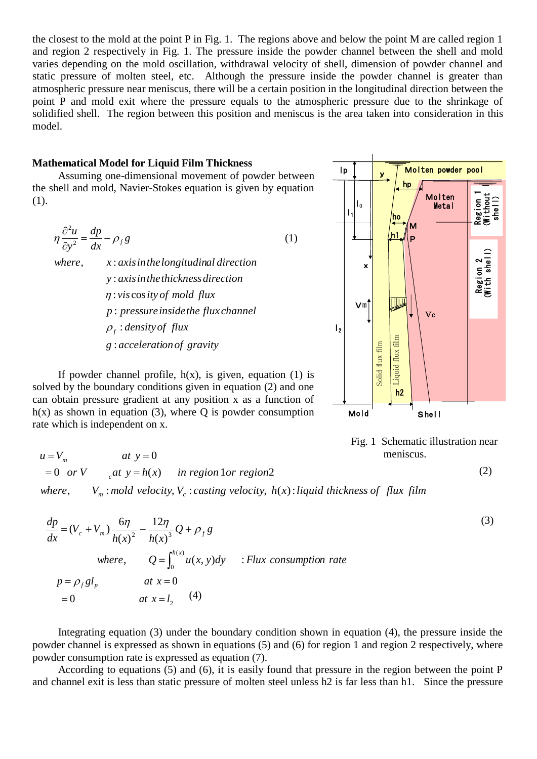the closest to the mold at the point P in Fig. 1. The regions above and below the point M are called region 1 and region 2 respectively in Fig. 1. The pressure inside the powder channel between the shell and mold varies depending on the mold oscillation, withdrawal velocity of shell, dimension of powder channel and static pressure of molten steel, etc. Although the pressure inside the powder channel is greater than atmospheric pressure near meniscus, there will be a certain position in the longitudinal direction between the point P and mold exit where the pressure equals to the atmospheric pressure due to the shrinkage of solidified shell. The region between this position and meniscus is the area taken into consideration in this model.

### **Mathematical Model for Liquid Film Thickness**

Assuming one-dimensional movement of powder between the shell and mold, Navier-Stokes equation is given by equation (1).

$$
\eta \frac{\partial^2 u}{\partial y^2} = \frac{dp}{dx} - \rho_f g \tag{1}
$$

*g accelerationof gravity* :  $\rho_f$ : *density of flux p pressureinsidethe flux channel* :  $\eta$ : viscos ity of mold flux *y axisinthethicknessdirection* : where,  $x: axis in the longitudinal direction$ 

If powder channel profile,  $h(x)$ , is given, equation (1) is solved by the boundary conditions given in equation (2) and one can obtain pressure gradient at any position x as a function of  $h(x)$  as shown in equation (3), where Q is powder consumption rate which is independent on x.





$$
(2)
$$

$$
u = V_m \qquad at \ y = 0
$$
  
= 0 or V \t $_{c}at \ y = h(x) \qquad in \ region \ 1 or \ region 2$ 

 $\Omega$ 

*where*,  $V_m$ : *mold velocity*,  $V_c$ : *casting velocity*,  $h(x)$ : *liquid thickness of flux film* 

$$
\frac{dp}{dx} = (V_c + V_m) \frac{6\eta}{h(x)^2} - \frac{12\eta}{h(x)^3} Q + \rho_f g
$$
\nwhere,\n
$$
Q = \int_0^{h(x)} u(x, y) dy \quad :Flux \text{ consumption rate}
$$
\n
$$
p = \rho_f g l_p \quad at \ x = 0
$$
\n
$$
= 0 \quad at \ x = l_2 \quad (4)
$$
\n(3)

Integrating equation (3) under the boundary condition shown in equation (4), the pressure inside the powder channel is expressed as shown in equations (5) and (6) for region 1 and region 2 respectively, where powder consumption rate is expressed as equation (7).

According to equations (5) and (6), it is easily found that pressure in the region between the point P and channel exit is less than static pressure of molten steel unless h2 is far less than h1. Since the pressure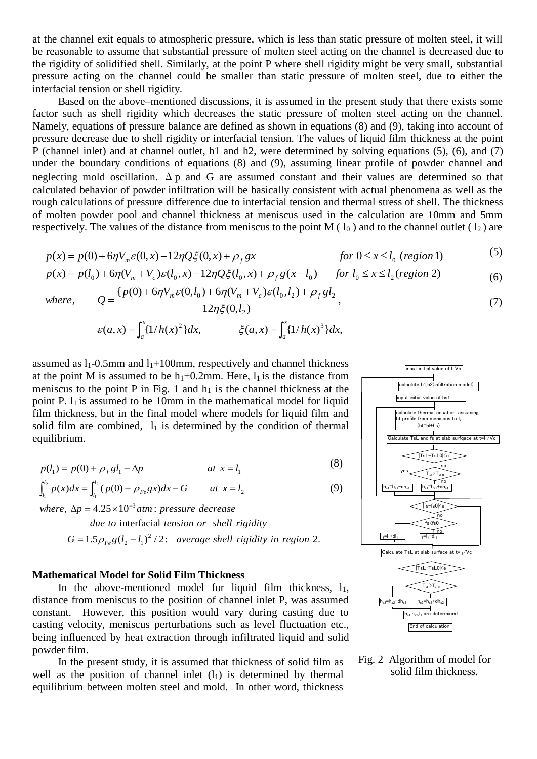at the channel exit equals to atmospheric pressure, which is less than static pressure of molten steel, it will be reasonable to assume that substantial pressure of molten steel acting on the channel is decreased due to the rigidity of solidified shell. Similarly, at the point P where shell rigidity might be very small, substantial pressure acting on the channel could be smaller than static pressure of molten steel, due to either the interfacial tension or shell rigidity.

Based on the above–mentioned discussions, it is assumed in the present study that there exists some factor such as shell rigidity which decreases the static pressure of molten steel acting on the channel. Namely, equations of pressure balance are defined as shown in equations (8) and (9), taking into account of pressure decrease due to shell rigidity or interfacial tension. The values of liquid film thickness at the point P (channel inlet) and at channel outlet, h1 and h2, were determined by solving equations (5), (6), and (7) under the boundary conditions of equations (8) and (9), assuming linear profile of powder channel and neglecting mold oscillation.  $\Delta p$  and G are assumed constant and their values are determined so that calculated behavior of powder infiltration will be basically consistent with actual phenomena as well as the rough calculations of pressure difference due to interfacial tension and thermal stress of shell. The thickness of molten powder pool and channel thickness at meniscus used in the calculation are 10mm and 5mm respectively. The values of the distance from meniscus to the point M ( $l_0$ ) and to the channel outlet ( $l_2$ ) are

$$
p(x) = p(0) + 6\eta V_m \varepsilon(0, x) - 12\eta Q \xi(0, x) + \rho_f gx \qquad \text{for } 0 \le x \le l_0 \text{ (region 1)}
$$
 (5)

$$
p(x) = p(l_0) + 6\eta (V_m + V_c) \varepsilon (l_0, x) - 12\eta Q \xi (l_0, x) + \rho_f g(x - l_0) \quad \text{for } l_0 \le x \le l_2 \text{ (region 2)}
$$
 (6)

where, 
$$
Q = \frac{\{p(0) + 6\eta V_m \varepsilon(0, l_0) + 6\eta (V_m + V_c) \varepsilon(l_0, l_2) + \rho_f g l_2}{12\eta \xi(0, l_2)},
$$
\n(7)

 $(8)$ 

$$
\varepsilon(a,x) = \int_a^x \{1/h(x)^2\} dx, \qquad \qquad \xi(a,x) = \int_a^x \{1/h(x)^3\} dx,
$$

assumed as  $l_1$ -0.5mm and  $l_1$ +100mm, respectively and channel thickness at the point M is assumed to be  $h_1+0.2mm$ . Here,  $l_1$  is the distance from meniscus to the point P in Fig. 1 and  $h_1$  is the channel thickness at the point P.  $l_1$  is assumed to be 10mm in the mathematical model for liquid film thickness, but in the final model where models for liquid film and solid film are combined,  $l_1$  is determined by the condition of thermal equilibrium.

$$
p(l_1) = p(0) + \rho_f g l_1 - \Delta p \tag{8}
$$

$$
\int_{l_1}^{l_2} p(x)dx = \int_{l_1}^{l_2} (p(0) + \rho_{Fe}gx)dx - G \qquad at \ x = l_2
$$
 (9)

where,  $\Delta p = 4.25 \times 10^{-3}$  atm : pressure *decrease* 

 $G = 1.5 \rho_{Fe} g (l_2 - l_1)^2 / 2$ : average shell rigidity in region 2. interfacial *due to tension or shell rigidity*

#### **Mathematical Model for Solid Film Thickness**

In the above-mentioned model for liquid film thickness,  $l_1$ , distance from meniscus to the position of channel inlet P, was assumed constant. However, this position would vary during casting due to casting velocity, meniscus perturbations such as level fluctuation etc., being influenced by heat extraction through infiltrated liquid and solid powder film.

In the present study, it is assumed that thickness of solid film as well as the position of channel inlet  $(l_1)$  is determined by thermal equilibrium between molten steel and mold. In other word, thickness



Fig. 2 Algorithm of model for solid film thickness.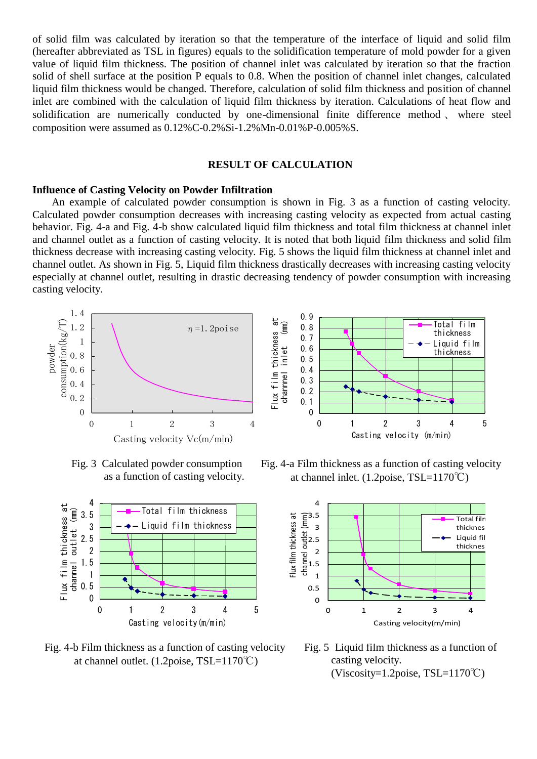of solid film was calculated by iteration so that the temperature of the interface of liquid and solid film (hereafter abbreviated as TSL in figures) equals to the solidification temperature of mold powder for a given value of liquid film thickness. The position of channel inlet was calculated by iteration so that the fraction solid of shell surface at the position P equals to 0.8. When the position of channel inlet changes, calculated liquid film thickness would be changed. Therefore, calculation of solid film thickness and position of channel inlet are combined with the calculation of liquid film thickness by iteration. Calculations of heat flow and solidification are numerically conducted by one-dimensional finite difference method 、 where steel composition were assumed as 0.12%C-0.2%Si-1.2%Mn-0.01%P-0.005%S.

## **RESULT OF CALCULATION**

### **Influence of Casting Velocity on Powder Infiltration**

An example of calculated powder consumption is shown in Fig. 3 as a function of casting velocity. Calculated powder consumption decreases with increasing casting velocity as expected from actual casting behavior. Fig. 4-a and Fig. 4-b show calculated liquid film thickness and total film thickness at channel inlet and channel outlet as a function of casting velocity. It is noted that both liquid film thickness and solid film thickness decrease with increasing casting velocity. Fig. 5 shows the liquid film thickness at channel inlet and channel outlet. As shown in Fig. 5, Liquid film thickness drastically decreases with increasing casting velocity especially at channel outlet, resulting in drastic decreasing tendency of powder consumption with increasing casting velocity.





Fig. 3 Calculated powder consumption as a function of casting velocity.



 Fig. 4-b Film thickness as a function of casting velocity at channel outlet.  $(1.2 \text{poise}, \text{TSL}=1170^{\circ}\text{C})$ 

 Fig. 4-a Film thickness as a function of casting velocity at channel inlet. (1.2poise, TSL=1170℃)



 Fig. 5 Liquid film thickness as a function of casting velocity. (Viscosity=1.2poise, TSL=1170℃)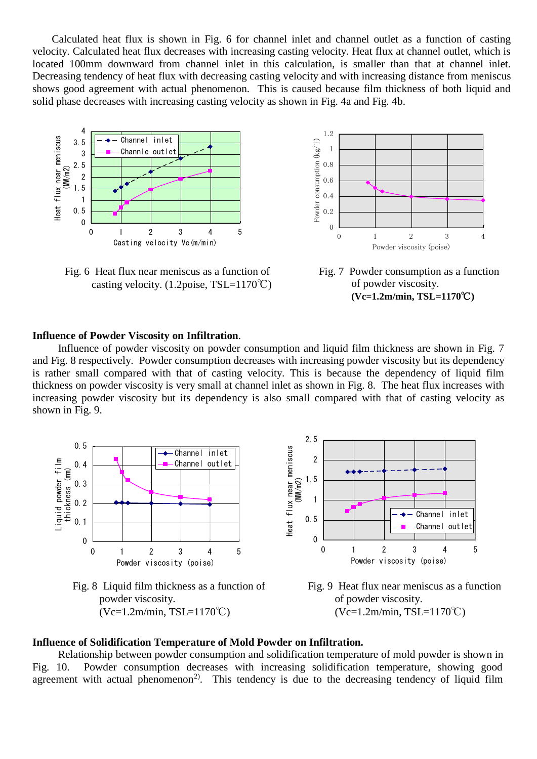Calculated heat flux is shown in Fig. 6 for channel inlet and channel outlet as a function of casting velocity. Calculated heat flux decreases with increasing casting velocity. Heat flux at channel outlet, which is located 100mm downward from channel inlet in this calculation, is smaller than that at channel inlet. Decreasing tendency of heat flux with decreasing casting velocity and with increasing distance from meniscus shows good agreement with actual phenomenon. This is caused because film thickness of both liquid and solid phase decreases with increasing casting velocity as shown in Fig. 4a and Fig. 4b.



 Fig. 6 Heat flux near meniscus as a function of casting velocity.  $(1.2 \text{noise}, \text{TSL}=1170^{\circ}\text{C})$ 



Fig. 7 Powder consumption as a function of powder viscosity. **(Vc=1.2m/min, TSL=1170**℃**)**

### **Influence of Powder Viscosity on Infiltration**.

Influence of powder viscosity on powder consumption and liquid film thickness are shown in Fig. 7 and Fig. 8 respectively. Powder consumption decreases with increasing powder viscosity but its dependency is rather small compared with that of casting velocity. This is because the dependency of liquid film thickness on powder viscosity is very small at channel inlet as shown in Fig. 8. The heat flux increases with increasing powder viscosity but its dependency is also small compared with that of casting velocity as shown in Fig. 9.



 $(Vc=1.2m/min, TSL=1170°C)$ 



### **Influence of Solidification Temperature of Mold Powder on Infiltration.**

Relationship between powder consumption and solidification temperature of mold powder is shown in Fig. 10. Powder consumption decreases with increasing solidification temperature, showing good agreement with actual phenomenon<sup>2)</sup>. This tendency is due to the decreasing tendency of liquid film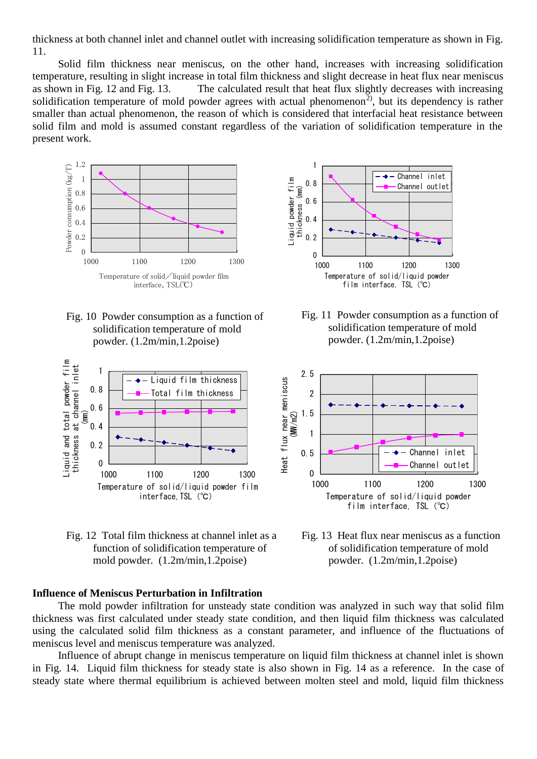thickness at both channel inlet and channel outlet with increasing solidification temperature as shown in Fig. 11.

Solid film thickness near meniscus, on the other hand, increases with increasing solidification temperature, resulting in slight increase in total film thickness and slight decrease in heat flux near meniscus as shown in Fig. 12 and Fig. 13. The calculated result that heat flux slightly decreases with increasing solidification temperature of mold powder agrees with actual phenomenon<sup>2)</sup>, but its dependency is rather smaller than actual phenomenon, the reason of which is considered that interfacial heat resistance between solid film and mold is assumed constant regardless of the variation of solidification temperature in the present work.



 Fig. 10 Powder consumption as a function of solidification temperature of mold powder. (1.2m/min,1.2poise)



 Fig. 12 Total film thickness at channel inlet as a function of solidification temperature of mold powder. (1.2m/min,1.2poise)

## **Influence of Meniscus Perturbation in Infiltration**

The mold powder infiltration for unsteady state condition was analyzed in such way that solid film thickness was first calculated under steady state condition, and then liquid film thickness was calculated using the calculated solid film thickness as a constant parameter, and influence of the fluctuations of meniscus level and meniscus temperature was analyzed.

Influence of abrupt change in meniscus temperature on liquid film thickness at channel inlet is shown in Fig. 14. Liquid film thickness for steady state is also shown in Fig. 14 as a reference. In the case of steady state where thermal equilibrium is achieved between molten steel and mold, liquid film thickness



 Fig. 11 Powder consumption as a function of solidification temperature of mold powder. (1.2m/min,1.2poise)



 Fig. 13 Heat flux near meniscus as a function of solidification temperature of mold powder. (1.2m/min,1.2poise)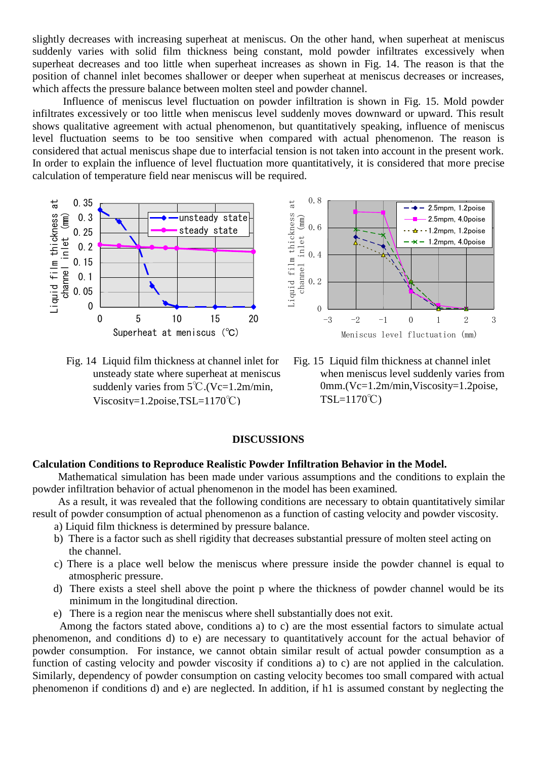slightly decreases with increasing superheat at meniscus. On the other hand, when superheat at meniscus suddenly varies with solid film thickness being constant, mold powder infiltrates excessively when superheat decreases and too little when superheat increases as shown in Fig. 14. The reason is that the position of channel inlet becomes shallower or deeper when superheat at meniscus decreases or increases, which affects the pressure balance between molten steel and powder channel.

Influence of meniscus level fluctuation on powder infiltration is shown in Fig. 15. Mold powder infiltrates excessively or too little when meniscus level suddenly moves downward or upward. This result shows qualitative agreement with actual phenomenon, but quantitatively speaking, influence of meniscus level fluctuation seems to be too sensitive when compared with actual phenomenon. The reason is considered that actual meniscus shape due to interfacial tension is not taken into account in the present work. In order to explain the influence of level fluctuation more quantitatively, it is considered that more precise calculation of temperature field near meniscus will be required.



 Fig. 14 Liquid film thickness at channel inlet for unsteady state where superheat at meniscus suddenly varies from  $5^{\circ}$ C.(Vc=1.2m/min, Viscosity=1.2poise, $TSL=1170°C$ )



 Fig. 15 Liquid film thickness at channel inlet when meniscus level suddenly varies from 0mm.(Vc=1.2m/min,Viscosity=1.2poise, TSL=1170℃)

## **DISCUSSIONS**

#### **Calculation Conditions to Reproduce Realistic Powder Infiltration Behavior in the Model.**

Mathematical simulation has been made under various assumptions and the conditions to explain the powder infiltration behavior of actual phenomenon in the model has been examined.

As a result, it was revealed that the following conditions are necessary to obtain quantitatively similar

result of powder consumption of actual phenomenon as a function of casting velocity and powder viscosity. a) Liquid film thickness is determined by pressure balance.

- 
- b) There is a factor such as shell rigidity that decreases substantial pressure of molten steel acting on the channel.
- c) There is a place well below the meniscus where pressure inside the powder channel is equal to atmospheric pressure.
- d) There exists a steel shell above the point p where the thickness of powder channel would be its minimum in the longitudinal direction.
- e) There is a region near the meniscus where shell substantially does not exit.

Among the factors stated above, conditions a) to c) are the most essential factors to simulate actual phenomenon, and conditions d) to e) are necessary to quantitatively account for the actual behavior of powder consumption. For instance, we cannot obtain similar result of actual powder consumption as a function of casting velocity and powder viscosity if conditions a) to c) are not applied in the calculation. Similarly, dependency of powder consumption on casting velocity becomes too small compared with actual phenomenon if conditions d) and e) are neglected. In addition, if h1 is assumed constant by neglecting the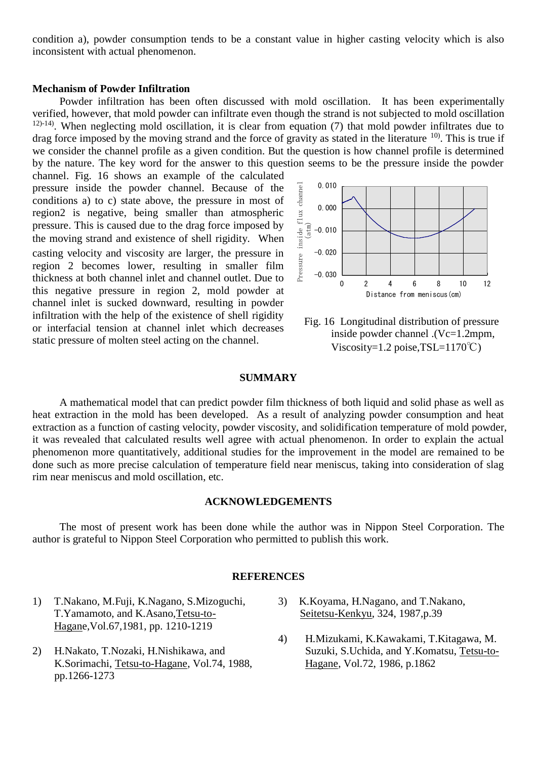condition a), powder consumption tends to be a constant value in higher casting velocity which is also inconsistent with actual phenomenon.

#### **Mechanism of Powder Infiltration**

Powder infiltration has been often discussed with mold oscillation. It has been experimentally verified, however, that mold powder can infiltrate even though the strand is not subjected to mold oscillation  $12)$ -14). When neglecting mold oscillation, it is clear from equation (7) that mold powder infiltrates due to drag force imposed by the moving strand and the force of gravity as stated in the literature  $^{10}$ . This is true if we consider the channel profile as a given condition. But the question is how channel profile is determined by the nature. The key word for the answer to this question seems to be the pressure inside the powder

channel. Fig. 16 shows an example of the calculated pressure inside the powder channel. Because of the conditions a) to c) state above, the pressure in most of region2 is negative, being smaller than atmospheric pressure. This is caused due to the drag force imposed by the moving strand and existence of shell rigidity. When casting velocity and viscosity are larger, the pressure in region 2 becomes lower, resulting in smaller film thickness at both channel inlet and channel outlet. Due to this negative pressure in region 2, mold powder at channel inlet is sucked downward, resulting in powder infiltration with the help of the existence of shell rigidity or interfacial tension at channel inlet which decreases static pressure of molten steel acting on the channel.



 Fig. 16 Longitudinal distribution of pressure inside powder channel .(Vc=1.2mpm, Viscosity=1.2 poise, $TSL=1170^{\circ}C$ )

#### **SUMMARY**

A mathematical model that can predict powder film thickness of both liquid and solid phase as well as heat extraction in the mold has been developed. As a result of analyzing powder consumption and heat extraction as a function of casting velocity, powder viscosity, and solidification temperature of mold powder, it was revealed that calculated results well agree with actual phenomenon. In order to explain the actual phenomenon more quantitatively, additional studies for the improvement in the model are remained to be done such as more precise calculation of temperature field near meniscus, taking into consideration of slag rim near meniscus and mold oscillation, etc.

# **ACKNOWLEDGEMENTS**

The most of present work has been done while the author was in Nippon Steel Corporation. The author is grateful to Nippon Steel Corporation who permitted to publish this work.

### **REFERENCES**

- 1) T.Nakano, M.Fuji, K.Nagano, S.Mizoguchi, T.Yamamoto, and K.Asano,Tetsu-to-Hagane,Vol.67,1981, pp. 1210-1219
- 2) H.Nakato, T.Nozaki, H.Nishikawa, and K.Sorimachi, Tetsu-to-Hagane, Vol.74, 1988, pp.1266-1273
- 3) K.Koyama, H.Nagano, and T.Nakano, Seitetsu-Kenkyu, 324, 1987,p.39
- 4) H.Mizukami, K.Kawakami, T.Kitagawa, M. Suzuki, S.Uchida, and Y.Komatsu, Tetsu-to-Hagane, Vol.72, 1986, p.1862